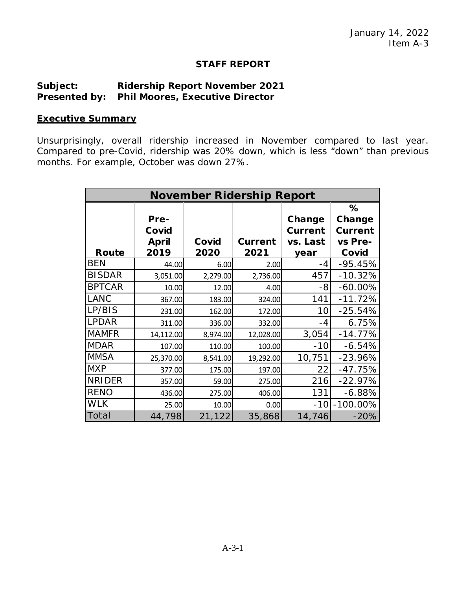## **STAFF REPORT**

## **Subject: Ridership Report November 2021 Presented by: Phil Moores, Executive Director**

## **Executive Summary**

Unsurprisingly, overall ridership increased in November compared to last year. Compared to pre-Covid, ridership was 20% down, which is less "down" than previous months. For example, October was down 27%.

| <b>November Ridership Report</b> |              |          |                |                |                |
|----------------------------------|--------------|----------|----------------|----------------|----------------|
|                                  |              |          |                |                | %              |
|                                  | Pre-         |          |                | Change         | Change         |
|                                  | Covid        |          |                | <b>Current</b> | <b>Current</b> |
|                                  | <b>April</b> | Covid    | <b>Current</b> | vs. Last       | vs Pre-        |
| Route                            | 2019         | 2020     | 2021           | year           | Covid          |
| <b>BEN</b>                       | 44.00        | 6.00     | 2.00           | -4             | $-95.45%$      |
| <b>BISDAR</b>                    | 3,051.00     | 2,279.00 | 2,736.00       | 457            | $-10.32%$      |
| <b>BPTCAR</b>                    | 10.00        | 12.00    | 4.00           | -8             | $-60.00\%$     |
| <b>LANC</b>                      | 367.00       | 183.00   | 324.00         | 141            | $-11.72%$      |
| LP/BIS                           | 231.00       | 162.00   | 172.00         | 10             | $-25.54%$      |
| <b>LPDAR</b>                     | 311.00       | 336.00   | 332.00         | -4             | 6.75%          |
| <b>MAMFR</b>                     | 14,112.00    | 8,974.00 | 12,028.00      | 3,054          | $-14.77%$      |
| <b>MDAR</b>                      | 107.00       | 110.00   | 100.00         | $-10$          | $-6.54%$       |
| <b>MMSA</b>                      | 25,370.00    | 8,541.00 | 19,292.00      | 10,751         | $-23.96%$      |
| <b>MXP</b>                       | 377.00       | 175.00   | 197.00         | 22             | $-47.75%$      |
| <b>NRIDER</b>                    | 357.00       | 59.00    | 275.00         | 216            | $-22.97%$      |
| <b>RENO</b>                      | 436.00       | 275.00   | 406.00         | 131            | $-6.88%$       |
| <b>WLK</b>                       | 25.00        | 10.00    | 0.00           | $-10$          | $-100.00\%$    |
| Total                            | 44,798       | 21,122   | 35,868         | 14,746         | $-20%$         |